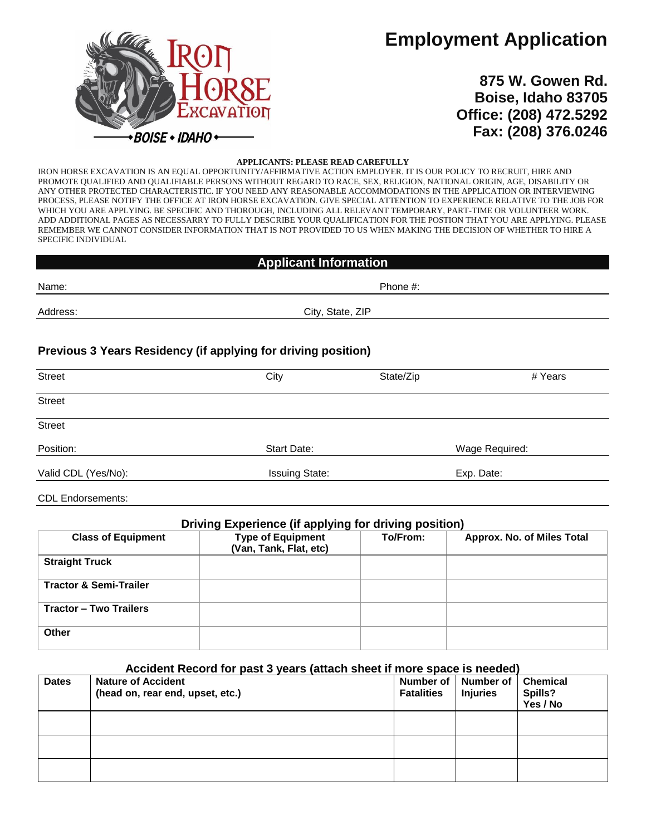# **Employment Application**



**875 W. Gowen Rd. Boise, Idaho 83705 Office: (208) 472.5292 Fax: (208) 376.0246**

#### **APPLICANTS: PLEASE READ CAREFULLY**

IRON HORSE EXCAVATION IS AN EQUAL OPPORTUNITY/AFFIRMATIVE ACTION EMPLOYER. IT IS OUR POLICY TO RECRUIT, HIRE AND PROMOTE QUALIFIED AND QUALIFIABLE PERSONS WITHOUT REGARD TO RACE, SEX, RELIGION, NATIONAL ORIGIN, AGE, DISABILITY OR ANY OTHER PROTECTED CHARACTERISTIC. IF YOU NEED ANY REASONABLE ACCOMMODATIONS IN THE APPLICATION OR INTERVIEWING PROCESS, PLEASE NOTIFY THE OFFICE AT IRON HORSE EXCAVATION. GIVE SPECIAL ATTENTION TO EXPERIENCE RELATIVE TO THE JOB FOR WHICH YOU ARE APPLYING. BE SPECIFIC AND THOROUGH, INCLUDING ALL RELEVANT TEMPORARY, PART-TIME OR VOLUNTEER WORK. ADD ADDITIONAL PAGES AS NECESSARRY TO FULLY DESCRIBE YOUR QUALIFICATION FOR THE POSTION THAT YOU ARE APPLYING. PLEASE REMEMBER WE CANNOT CONSIDER INFORMATION THAT IS NOT PROVIDED TO US WHEN MAKING THE DECISION OF WHETHER TO HIRE A SPECIFIC INDIVIDUAL

| <b>Applicant Information</b> |                                                               |           |         |
|------------------------------|---------------------------------------------------------------|-----------|---------|
| Name:                        |                                                               | Phone #:  |         |
| Address:                     | City, State, ZIP                                              |           |         |
|                              | Previous 3 Years Residency (if applying for driving position) |           |         |
| <b>Street</b>                | City                                                          | State/Zip | # Years |
| <b>Street</b>                |                                                               |           |         |
| Street                       |                                                               |           |         |

| Position:           | Start Date:           | Wage Required: |  |
|---------------------|-----------------------|----------------|--|
|                     |                       |                |  |
| Valid CDL (Yes/No): | <b>Issuing State:</b> | Exp. Date:     |  |

CDL Endorsements:

### **Driving Experience (if applying for driving position)**

| <b>Class of Equipment</b>         | <b>Type of Equipment</b><br>(Van, Tank, Flat, etc) | To/From: | Approx. No. of Miles Total |
|-----------------------------------|----------------------------------------------------|----------|----------------------------|
| <b>Straight Truck</b>             |                                                    |          |                            |
| <b>Tractor &amp; Semi-Trailer</b> |                                                    |          |                            |
| <b>Tractor - Two Trailers</b>     |                                                    |          |                            |
| <b>Other</b>                      |                                                    |          |                            |

### **Accident Record for past 3 years (attach sheet if more space is needed)**

| <b>Dates</b> | <b>Nature of Accident</b><br>(head on, rear end, upset, etc.) | <b>Fatalities</b> | Number of   Number of   Chemical<br><b>Injuries</b> | Spills?<br>Yes / No |
|--------------|---------------------------------------------------------------|-------------------|-----------------------------------------------------|---------------------|
|              |                                                               |                   |                                                     |                     |
|              |                                                               |                   |                                                     |                     |
|              |                                                               |                   |                                                     |                     |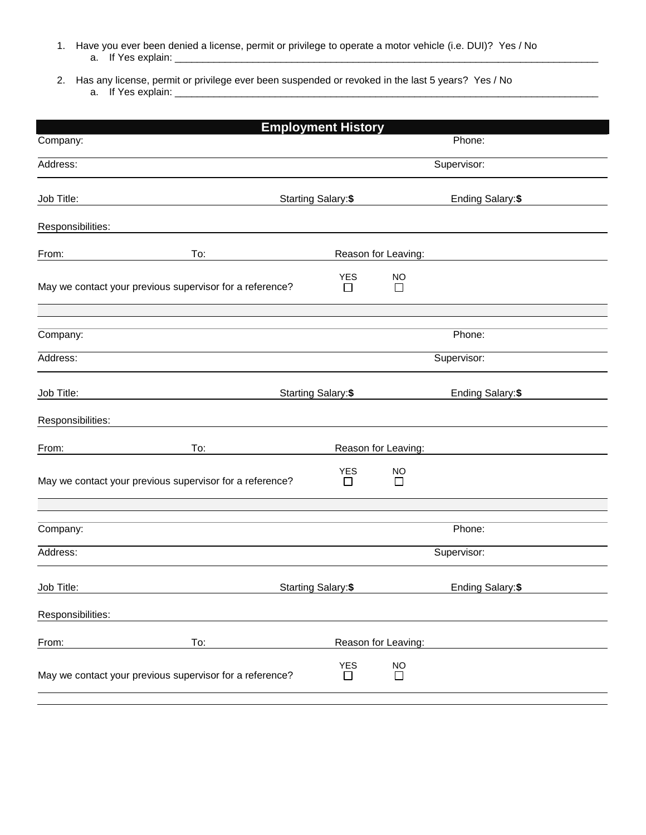- 1. Have you ever been denied a license, permit or privilege to operate a motor vehicle (i.e. DUI)? Yes / No a. If Yes explain:
- 2. Has any license, permit or privilege ever been suspended or revoked in the last 5 years? Yes / No a. If Yes explain: \_\_\_\_\_\_\_\_\_\_\_\_\_\_\_\_\_\_\_\_\_\_\_\_\_\_\_\_\_\_\_\_\_\_\_\_\_\_\_\_\_\_\_\_\_\_\_\_\_\_\_\_\_\_\_\_\_\_\_\_\_\_\_\_\_\_\_\_\_\_\_\_\_\_\_\_

|                                                          | <b>Employment History</b>  |                     |                   |  |
|----------------------------------------------------------|----------------------------|---------------------|-------------------|--|
| Company:                                                 |                            |                     | Phone:            |  |
| Address:                                                 |                            |                     | Supervisor:       |  |
| Job Title:                                               | <b>Starting Salary: \$</b> |                     | Ending Salary: \$ |  |
| Responsibilities:                                        |                            |                     |                   |  |
| From:<br>To:                                             |                            | Reason for Leaving: |                   |  |
| May we contact your previous supervisor for a reference? | <b>YES</b><br>П            | NO<br>$\Box$        |                   |  |
|                                                          |                            |                     |                   |  |
| Company:                                                 |                            |                     | Phone:            |  |
| Address:                                                 |                            |                     | Supervisor:       |  |
| Job Title:                                               | Starting Salary: \$        |                     | Ending Salary: \$ |  |
| Responsibilities:                                        |                            |                     |                   |  |
| To:<br>From:                                             |                            | Reason for Leaving: |                   |  |
| May we contact your previous supervisor for a reference? | <b>YES</b><br>$\Box$       | <b>NO</b><br>$\Box$ |                   |  |
| Company:                                                 |                            |                     | Phone:            |  |
|                                                          |                            |                     |                   |  |
| Address:                                                 |                            |                     | Supervisor:       |  |
| Job Title:                                               | Starting Salary: \$        |                     | Ending Salary: \$ |  |
| Responsibilities:                                        |                            |                     |                   |  |
| To:<br>From:                                             |                            | Reason for Leaving: |                   |  |
| May we contact your previous supervisor for a reference? | <b>YES</b><br>$\Box$       | <b>NO</b><br>$\Box$ |                   |  |